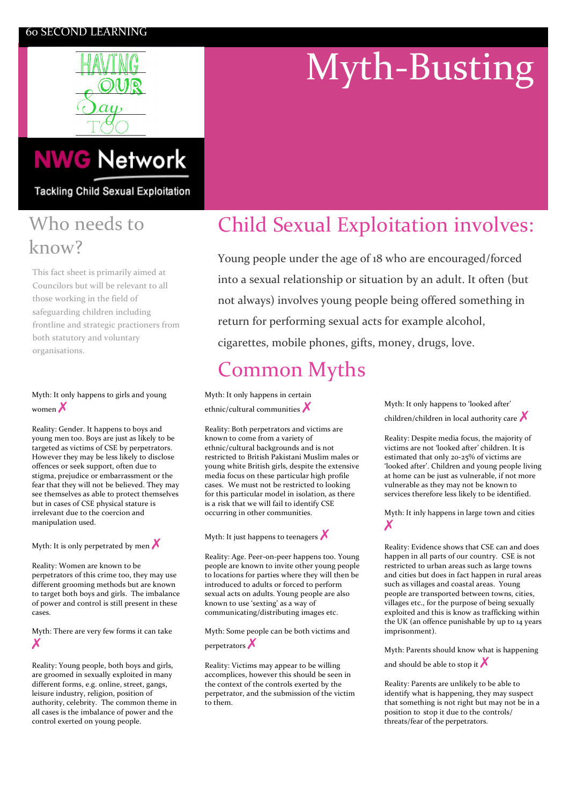### 60,SECOND,LEARNING



# Myth-Busting

# **NWG Network**

**Tackling Child Sexual Exploitation** 

### Who needs to know?

This fact sheet is primarily aimed at Councilors but will be relevant to all those working in the field of safeguarding children including frontline and strategic practioners from both statutory and voluntary organisations.

### Myth: It only happens to girls and young women $\lambda$

Reality: Gender. It happens to boys and young men too. Boys are just as likely to be targeted as victims of CSE by perpetrators. However they may be less likely to disclose offences or seek support, often due to stigma, prejudice or embarrassment or the fear that they will not be believed. They may see themselves as able to protect themselves but in cases of CSE physical stature is irrelevant,due,to,the,coercion,and manipulation used.

Myth: It is only perpetrated by men  $\boldsymbol{\times}$ 

Reality: Women are known to be perpetrators of this crime too, they may use different grooming methods but are known to target both boys and girls. The imbalance of power and control is still present in these cases.

Myth: There are very few forms it can take ✗

Reality: Young people, both boys and girls, are groomed in sexually exploited in many different forms, e.g. online, street, gangs, leisure industry, religion, position of authority, celebrity. The common theme in all cases is the imbalance of power and the control exerted on young people.

## Child Sexual Exploitation involves:

Young people under the age of 18 who are encouraged/forced into a sexual relationship or situation by an adult. It often (but) not always) involves young people being offered something in return for performing sexual acts for example alcohol, cigarettes, mobile phones, gifts, money, drugs, love.

# **Common Myths**

Myth: It only happens in certain ethnic/cultural communities  $\lambda$ 

Reality: Both perpetrators and victims are known to come from a variety of ethnic/cultural backgrounds and is not restricted to British Pakistani Muslim males or young white British girls, despite the extensive media focus on these particular high profile cases. We must not be restricted to looking for this particular model in isolation, as there is a risk that we will fail to identify CSE occurring in other communities.

Myth: It just happens to teenagers  $\bigtimes$ 

Reality: Age. Peer-on-peer happens too. Young people are known to invite other young people to locations for parties where they will then be introduced to adults or forced to perform sexual acts on adults. Young people are also known to use 'sexting' as a way of communicating/distributing images etc.

Myth: Some people can be both victims and perpetrators

Reality: Victims may appear to be willing accomplices, however this should be seen in the context of the controls exerted by the perpetrator, and the submission of the victim to them.

Myth: It only happens to 'looked after' children/children in local authority care  $\chi$ 

Reality: Despite media focus, the majority of victims are not 'looked after' children. It is estimated that only 20-25% of victims are 'looked after'. Children and young people living at home can be just as vulnerable, if not more vulnerable as they may not be known to services therefore less likely to be identified.

Myth: It inly happens in large town and cities ✗

Reality: Evidence shows that CSE can and does happen in all parts of our country. CSE is not restricted to urban areas such as large towns and cities but does in fact happen in rural areas such as villages and coastal areas. Young people are transported between towns, cities, villages etc., for the purpose of being sexually exploited and this is know as trafficking within the UK (an offence punishable by up to 14 years imprisonment).

Myth: Parents should know what is happening and, should, be, able, to, stop, it  $\lambda$ 

Reality: Parents are unlikely to be able to identify what is happening, they may suspect that something is not right but may not be in a position to stop it due to the controls/ threats/fear of the perpetrators.